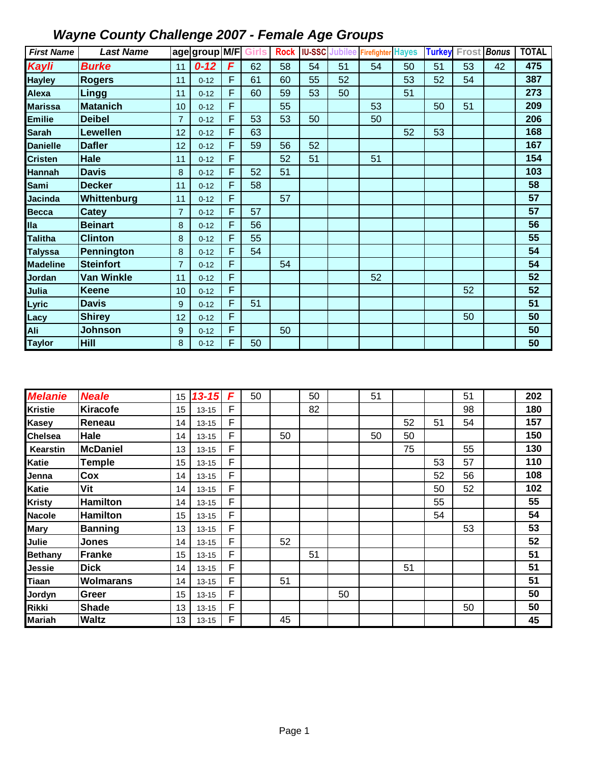| <b>First Name</b> | <b>Last Name</b>  |                | age group M/F |   | Girls | <b>Rock</b> |    |    | <b>IU-SSC</b> Jubilee Firefighter Hayes |    | <b>Turkey</b> | Frost | <b>Bonus</b> | <b>TOTAL</b> |
|-------------------|-------------------|----------------|---------------|---|-------|-------------|----|----|-----------------------------------------|----|---------------|-------|--------------|--------------|
| Kayli             | <b>Burke</b>      | 11             | $0 - 12$      | F | 62    | 58          | 54 | 51 | 54                                      | 50 | 51            | 53    | 42           | 475          |
| <b>Hayley</b>     | <b>Rogers</b>     | 11             | $0 - 12$      | F | 61    | 60          | 55 | 52 |                                         | 53 | 52            | 54    |              | 387          |
| Alexa             | <b>Lingg</b>      | 11             | $0 - 12$      | F | 60    | 59          | 53 | 50 |                                         | 51 |               |       |              | 273          |
| <b>Marissa</b>    | <b>Matanich</b>   | 10             | $0 - 12$      | F |       | 55          |    |    | 53                                      |    | 50            | 51    |              | 209          |
| <b>Emilie</b>     | <b>Deibel</b>     | $\overline{7}$ | $0 - 12$      | F | 53    | 53          | 50 |    | 50                                      |    |               |       |              | 206          |
| <b>Sarah</b>      | <b>Lewellen</b>   | 12             | $0 - 12$      | F | 63    |             |    |    |                                         | 52 | 53            |       |              | 168          |
| <b>Danielle</b>   | <b>Dafler</b>     | 12             | $0 - 12$      | F | 59    | 56          | 52 |    |                                         |    |               |       |              | 167          |
| <b>Cristen</b>    | Hale              | 11             | $0 - 12$      | F |       | 52          | 51 |    | 51                                      |    |               |       |              | 154          |
| <b>Hannah</b>     | <b>Davis</b>      | 8              | $0 - 12$      | F | 52    | 51          |    |    |                                         |    |               |       |              | 103          |
| Sami              | <b>Decker</b>     | 11             | $0 - 12$      | F | 58    |             |    |    |                                         |    |               |       |              | 58           |
| <b>Jacinda</b>    | Whittenburg       | 11             | $0 - 12$      | F |       | 57          |    |    |                                         |    |               |       |              | 57           |
| <b>Becca</b>      | Catey             | $\overline{7}$ | $0 - 12$      | F | 57    |             |    |    |                                         |    |               |       |              | 57           |
| <b>Ila</b>        | <b>Beinart</b>    | 8              | $0 - 12$      | F | 56    |             |    |    |                                         |    |               |       |              | 56           |
| <b>Talitha</b>    | <b>Clinton</b>    | 8              | $0 - 12$      | F | 55    |             |    |    |                                         |    |               |       |              | 55           |
| <b>Talyssa</b>    | Pennington        | 8              | $0 - 12$      | F | 54    |             |    |    |                                         |    |               |       |              | 54           |
| <b>Madeline</b>   | <b>Steinfort</b>  | $\overline{7}$ | $0 - 12$      | F |       | 54          |    |    |                                         |    |               |       |              | 54           |
| Jordan            | <b>Van Winkle</b> | 11             | $0 - 12$      | F |       |             |    |    | 52                                      |    |               |       |              | 52           |
| Julia             | <b>Keene</b>      | 10             | $0 - 12$      | F |       |             |    |    |                                         |    |               | 52    |              | 52           |
| Lyric             | <b>Davis</b>      | 9              | $0 - 12$      | F | 51    |             |    |    |                                         |    |               |       |              | 51           |
| Lacy              | <b>Shirey</b>     | 12             | $0 - 12$      | F |       |             |    |    |                                         |    |               | 50    |              | 50           |
| Ali               | <b>Johnson</b>    | 9              | $0 - 12$      | F |       | 50          |    |    |                                         |    |               |       |              | 50           |
| <b>Taylor</b>     | Hill              | 8              | $0 - 12$      | F | 50    |             |    |    |                                         |    |               |       |              | 50           |

| <b>Melanie</b> | <b>Neale</b>     | 15 | $13 - 15$ | F | 50 |    | 50 |    | 51 |    |    | 51 | 202 |
|----------------|------------------|----|-----------|---|----|----|----|----|----|----|----|----|-----|
| <b>Kristie</b> | <b>Kiracofe</b>  | 15 | $13 - 15$ | F |    |    | 82 |    |    |    |    | 98 | 180 |
| Kasey          | Reneau           | 14 | $13 - 15$ | F |    |    |    |    |    | 52 | 51 | 54 | 157 |
| <b>Chelsea</b> | Hale             | 14 | $13 - 15$ | F |    | 50 |    |    | 50 | 50 |    |    | 150 |
| Kearstin       | <b>McDaniel</b>  | 13 | $13 - 15$ | F |    |    |    |    |    | 75 |    | 55 | 130 |
| Katie          | <b>Temple</b>    | 15 | $13 - 15$ | F |    |    |    |    |    |    | 53 | 57 | 110 |
| Jenna          | Cox              | 14 | $13 - 15$ | F |    |    |    |    |    |    | 52 | 56 | 108 |
| Katie          | Vit              | 14 | $13 - 15$ | F |    |    |    |    |    |    | 50 | 52 | 102 |
| <b>Kristy</b>  | <b>Hamilton</b>  | 14 | $13 - 15$ | F |    |    |    |    |    |    | 55 |    | 55  |
| <b>Nacole</b>  | <b>Hamilton</b>  | 15 | $13 - 15$ | F |    |    |    |    |    |    | 54 |    | 54  |
| <b>Mary</b>    | <b>Banning</b>   | 13 | $13 - 15$ | F |    |    |    |    |    |    |    | 53 | 53  |
| Julie          | Jones            | 14 | $13 - 15$ | F |    | 52 |    |    |    |    |    |    | 52  |
| <b>Bethany</b> | <b>Franke</b>    | 15 | $13 - 15$ | F |    |    | 51 |    |    |    |    |    | 51  |
| Jessie         | <b>Dick</b>      | 14 | $13 - 15$ | F |    |    |    |    |    | 51 |    |    | 51  |
| Tiaan          | <b>Wolmarans</b> | 14 | $13 - 15$ | F |    | 51 |    |    |    |    |    |    | 51  |
| Jordyn         | Greer            | 15 | $13 - 15$ | F |    |    |    | 50 |    |    |    |    | 50  |
| <b>Rikki</b>   | <b>Shade</b>     | 13 | $13 - 15$ | F |    |    |    |    |    |    |    | 50 | 50  |
| <b>Mariah</b>  | <b>Waltz</b>     | 13 | $13 - 15$ | F |    | 45 |    |    |    |    |    |    | 45  |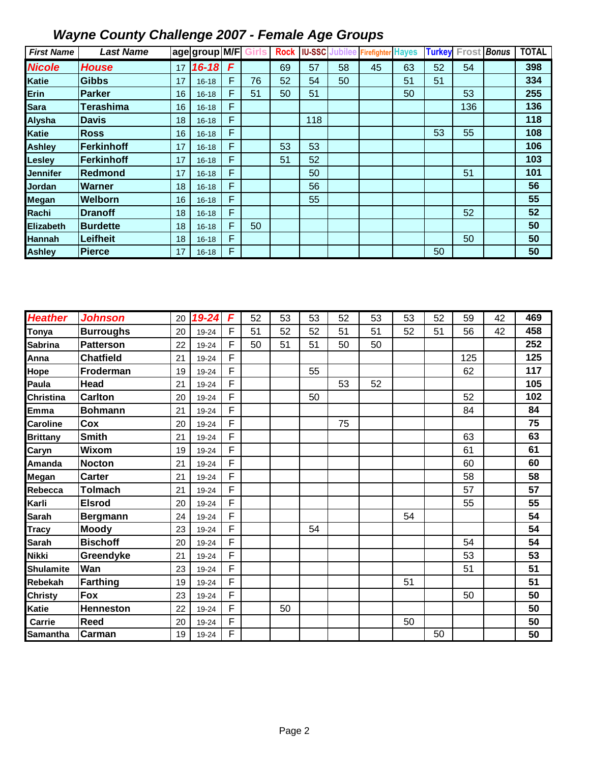| <b>First Name</b> | <b>Last Name</b> |    | lage group M/F |   |    | <b>Rock</b> |     |    | <b>IU-SSC Jubilee Firefighter Hayes</b> |    | <b>Turkey</b> | Frost Bonus | <b>TOTAL</b> |
|-------------------|------------------|----|----------------|---|----|-------------|-----|----|-----------------------------------------|----|---------------|-------------|--------------|
| <b>Nicole</b>     | <b>House</b>     | 17 | $16 - 18$      | F |    | 69          | 57  | 58 | 45                                      | 63 | 52            | 54          | 398          |
| <b>Katie</b>      | <b>Gibbs</b>     | 17 | $16 - 18$      | F | 76 | 52          | 54  | 50 |                                         | 51 | 51            |             | 334          |
| Erin              | <b>Parker</b>    | 16 | $16 - 18$      | F | 51 | 50          | 51  |    |                                         | 50 |               | 53          | 255          |
| <b>Sara</b>       | <b>Terashima</b> | 16 | $16 - 18$      | F |    |             |     |    |                                         |    |               | 136         | 136          |
| <b>Alysha</b>     | <b>Davis</b>     | 18 | $16 - 18$      | F |    |             | 118 |    |                                         |    |               |             | 118          |
| <b>Katie</b>      | <b>Ross</b>      | 16 | $16 - 18$      | F |    |             |     |    |                                         |    | 53            | 55          | 108          |
| <b>Ashley</b>     | Ferkinhoff       | 17 | $16 - 18$      | F |    | 53          | 53  |    |                                         |    |               |             | 106          |
| <b>Lesley</b>     | Ferkinhoff       | 17 | $16 - 18$      | F |    | 51          | 52  |    |                                         |    |               |             | 103          |
| <b>Jennifer</b>   | Redmond          | 17 | $16 - 18$      | F |    |             | 50  |    |                                         |    |               | 51          | 101          |
| Jordan            | Warner           | 18 | $16 - 18$      | F |    |             | 56  |    |                                         |    |               |             | 56           |
| <b>Megan</b>      | Welborn          | 16 | $16 - 18$      | F |    |             | 55  |    |                                         |    |               |             | 55           |
| Rachi             | <b>Dranoff</b>   | 18 | $16 - 18$      | F |    |             |     |    |                                         |    |               | 52          | 52           |
| Elizabeth         | <b>Burdette</b>  | 18 | $16 - 18$      | F | 50 |             |     |    |                                         |    |               |             | 50           |
| <b>Hannah</b>     | Leifheit         | 18 | $16 - 18$      | F |    |             |     |    |                                         |    |               | 50          | 50           |
| <b>Ashley</b>     | <b>Pierce</b>    | 17 | $16 - 18$      | F |    |             |     |    |                                         |    | 50            |             | 50           |

| <b>Heather</b>   | <b>Johnson</b>   | 20 | 19-24 | F | 52 | 53 | 53 | 52 | 53 | 53 | 52 | 59  | 42 | 469 |
|------------------|------------------|----|-------|---|----|----|----|----|----|----|----|-----|----|-----|
| Tonya            | <b>Burroughs</b> | 20 | 19-24 | F | 51 | 52 | 52 | 51 | 51 | 52 | 51 | 56  | 42 | 458 |
| Sabrina          | <b>Patterson</b> | 22 | 19-24 | F | 50 | 51 | 51 | 50 | 50 |    |    |     |    | 252 |
| Anna             | <b>Chatfield</b> | 21 | 19-24 | F |    |    |    |    |    |    |    | 125 |    | 125 |
| Hope             | Froderman        | 19 | 19-24 | F |    |    | 55 |    |    |    |    | 62  |    | 117 |
| Paula            | <b>Head</b>      | 21 | 19-24 | F |    |    |    | 53 | 52 |    |    |     |    | 105 |
| <b>Christina</b> | <b>Carlton</b>   | 20 | 19-24 | F |    |    | 50 |    |    |    |    | 52  |    | 102 |
| Emma             | <b>Bohmann</b>   | 21 | 19-24 | F |    |    |    |    |    |    |    | 84  |    | 84  |
| <b>Caroline</b>  | Cox              | 20 | 19-24 | F |    |    |    | 75 |    |    |    |     |    | 75  |
| <b>Brittany</b>  | <b>Smith</b>     | 21 | 19-24 | F |    |    |    |    |    |    |    | 63  |    | 63  |
| Caryn            | <b>Wixom</b>     | 19 | 19-24 | F |    |    |    |    |    |    |    | 61  |    | 61  |
| Amanda           | <b>Nocton</b>    | 21 | 19-24 | F |    |    |    |    |    |    |    | 60  |    | 60  |
| Megan            | <b>Carter</b>    | 21 | 19-24 | F |    |    |    |    |    |    |    | 58  |    | 58  |
| Rebecca          | <b>Tolmach</b>   | 21 | 19-24 | F |    |    |    |    |    |    |    | 57  |    | 57  |
| Karli            | <b>Elsrod</b>    | 20 | 19-24 | F |    |    |    |    |    |    |    | 55  |    | 55  |
| <b>Sarah</b>     | <b>Bergmann</b>  | 24 | 19-24 | F |    |    |    |    |    | 54 |    |     |    | 54  |
| <b>Tracy</b>     | <b>Moody</b>     | 23 | 19-24 | F |    |    | 54 |    |    |    |    |     |    | 54  |
| Sarah            | <b>Bischoff</b>  | 20 | 19-24 | F |    |    |    |    |    |    |    | 54  |    | 54  |
| Nikki            | Greendyke        | 21 | 19-24 | F |    |    |    |    |    |    |    | 53  |    | 53  |
| <b>Shulamite</b> | Wan              | 23 | 19-24 | F |    |    |    |    |    |    |    | 51  |    | 51  |
| Rebekah          | <b>Farthing</b>  | 19 | 19-24 | F |    |    |    |    |    | 51 |    |     |    | 51  |
| Christy          | <b>Fox</b>       | 23 | 19-24 | F |    |    |    |    |    |    |    | 50  |    | 50  |
| Katie            | <b>Henneston</b> | 22 | 19-24 | F |    | 50 |    |    |    |    |    |     |    | 50  |
| Carrie           | <b>Reed</b>      | 20 | 19-24 | F |    |    |    |    |    | 50 |    |     |    | 50  |
| Samantha         | Carman           | 19 | 19-24 | F |    |    |    |    |    |    | 50 |     |    | 50  |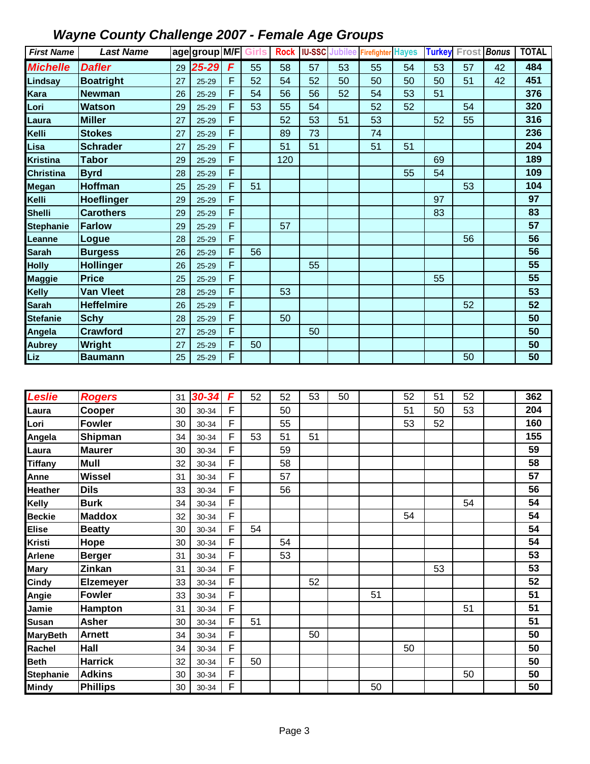| <b>First Name</b>                | <b>Last Name</b>           |          | age group M/F Girls |             |    |     |    |    | Rock   IU-SSC Jubilee Firefighter Hayes |    |    | <b>Turkey</b> Frost <b>Bonus</b> |    | <b>TOTAL</b> |
|----------------------------------|----------------------------|----------|---------------------|-------------|----|-----|----|----|-----------------------------------------|----|----|----------------------------------|----|--------------|
| <b>Michelle</b>                  | <b>Dafler</b>              | 29       | 25-29               | F           | 55 | 58  | 57 | 53 | 55                                      | 54 | 53 | 57                               | 42 | 484          |
| Lindsay                          | <b>Boatright</b>           | 27       | $25 - 29$           | F           | 52 | 54  | 52 | 50 | 50                                      | 50 | 50 | 51                               | 42 | 451          |
| Kara                             | <b>Newman</b>              | 26       | $25 - 29$           | F           | 54 | 56  | 56 | 52 | 54                                      | 53 | 51 |                                  |    | 376          |
| Lori                             | <b>Watson</b>              | 29       | 25-29               | F           | 53 | 55  | 54 |    | 52                                      | 52 |    | 54                               |    | 320          |
| Laura                            | <b>Miller</b>              | 27       | $25 - 29$           | F           |    | 52  | 53 | 51 | 53                                      |    | 52 | 55                               |    | 316          |
| Kelli                            | <b>Stokes</b>              | 27       | $25 - 29$           | F           |    | 89  | 73 |    | 74                                      |    |    |                                  |    | 236          |
| Lisa                             | <b>Schrader</b>            | 27       | $25 - 29$           | F           |    | 51  | 51 |    | 51                                      | 51 |    |                                  |    | 204          |
| <b>Kristina</b>                  | <b>Tabor</b>               | 29       | $25 - 29$           | F           |    | 120 |    |    |                                         |    | 69 |                                  |    | 189          |
| <b>Christina</b>                 | <b>Byrd</b>                | 28       | $25 - 29$           | F           |    |     |    |    |                                         | 55 | 54 |                                  |    | 109          |
| <b>Megan</b>                     | <b>Hoffman</b>             | 25       | 25-29               | F           | 51 |     |    |    |                                         |    |    | 53                               |    | 104          |
| Kelli                            | Hoeflinger                 | 29       | $25 - 29$           | F           |    |     |    |    |                                         |    | 97 |                                  |    | 97           |
| <b>Shelli</b>                    | <b>Carothers</b>           | 29       | $25 - 29$           | F           |    |     |    |    |                                         |    | 83 |                                  |    | 83           |
| <b>Stephanie</b>                 | <b>Farlow</b>              | 29       | 25-29               | F           |    | 57  |    |    |                                         |    |    |                                  |    | 57           |
| Leanne                           | Logue                      | 28       | 25-29               | F           |    |     |    |    |                                         |    |    | 56                               |    | 56           |
| <b>Sarah</b>                     | <b>Burgess</b>             | 26       | 25-29               | F           | 56 |     |    |    |                                         |    |    |                                  |    | 56           |
| <b>Holly</b>                     | <b>Hollinger</b>           | 26       | 25-29               | F           |    |     | 55 |    |                                         |    |    |                                  |    | 55           |
| <b>Maggie</b>                    | <b>Price</b>               | 25       | 25-29               | F           |    |     |    |    |                                         |    | 55 |                                  |    | 55           |
| <b>Kelly</b>                     | <b>Van Vleet</b>           | 28       | $25 - 29$           | F           |    | 53  |    |    |                                         |    |    |                                  |    | 53           |
| <b>Sarah</b>                     | <b>Heffelmire</b>          | 26       | $25 - 29$           | F           |    |     |    |    |                                         |    |    | 52                               |    | 52           |
| <b>Stefanie</b>                  | <b>Schy</b>                | 28       | $25 - 29$           | F           |    | 50  |    |    |                                         |    |    |                                  |    | 50           |
| Angela                           | <b>Crawford</b>            | 27       | 25-29               | F           |    |     | 50 |    |                                         |    |    |                                  |    | 50           |
| <b>Aubrey</b>                    | Wright                     | 27       | 25-29               | F           | 50 |     |    |    |                                         |    |    |                                  |    | 50           |
| <b>Liz</b>                       | <b>Baumann</b>             | 25       | 25-29               | F           |    |     |    |    |                                         |    |    | 50                               |    | 50           |
|                                  |                            |          |                     |             |    |     |    |    |                                         |    |    |                                  |    |              |
|                                  |                            |          |                     |             |    |     |    |    |                                         |    |    |                                  |    |              |
|                                  |                            |          |                     |             |    |     |    |    |                                         |    |    |                                  |    |              |
| <b>Leslie</b>                    | <b>Rogers</b>              | 31       | 30-34               | F           | 52 | 52  | 53 | 50 |                                         | 52 | 51 | 52                               |    | 362          |
| Laura                            | Cooper                     | 30       | 30-34               | F           |    | 50  |    |    |                                         | 51 | 50 | 53                               |    | 204          |
| Lori                             | <b>Fowler</b>              | 30       | 30-34               | F           |    | 55  |    |    |                                         | 53 | 52 |                                  |    | 160          |
| Angela                           | Shipman                    | 34       | 30-34               | F           | 53 | 51  | 51 |    |                                         |    |    |                                  |    | 155          |
| Laura                            | <b>Maurer</b>              | 30       | 30-34               | F           |    | 59  |    |    |                                         |    |    |                                  |    | 59           |
| <b>Tiffany</b>                   | Mull                       | 32       | 30-34               | F           |    | 58  |    |    |                                         |    |    |                                  |    | 58           |
| Anne                             | <b>Wissel</b>              | 31       | 30-34               | F           |    | 57  |    |    |                                         |    |    |                                  |    | 57           |
| Heather                          | <b>Dils</b>                | 33       | 30-34               | F           |    | 56  |    |    |                                         |    |    |                                  |    | 56           |
| Kelly                            | <b>Burk</b>                | 34       | 30-34               | F           |    |     |    |    |                                         |    |    | 54                               |    | 54           |
| <b>Beckie</b>                    | <b>Maddox</b>              | 32       | 30-34               | F           |    |     |    |    |                                         | 54 |    |                                  |    | 54           |
| <b>Elise</b>                     | <b>Beatty</b>              | 30       | 30-34               | F           | 54 |     |    |    |                                         |    |    |                                  |    | 54<br>54     |
| <b>Kristi</b>                    | Hope                       | 30       | 30-34               | F<br>F      |    | 54  |    |    |                                         |    |    |                                  |    | 53           |
| Arlene                           | <b>Berger</b>              | 31       | 30-34               | $\mathsf F$ |    | 53  |    |    |                                         |    |    |                                  |    | 53           |
| <b>Mary</b>                      | Zinkan                     | 31<br>33 | 30-34<br>30-34      | F           |    |     | 52 |    |                                         |    | 53 |                                  |    | 52           |
| Cindy                            | Elzemeyer<br><b>Fowler</b> | 33       | 30-34               | F           |    |     |    |    | 51                                      |    |    |                                  |    | 51           |
| Angie                            | <b>Hampton</b>             | 31       | 30-34               | F           |    |     |    |    |                                         |    |    | 51                               |    | 51           |
| Jamie<br><b>Susan</b>            | <b>Asher</b>               | 30       | 30-34               | F           | 51 |     |    |    |                                         |    |    |                                  |    | 51           |
| <b>MaryBeth</b>                  | <b>Arnett</b>              | 34       | 30-34               | F           |    |     | 50 |    |                                         |    |    |                                  |    | 50           |
| Rachel                           | Hall                       | 34       | 30-34               | F           |    |     |    |    |                                         | 50 |    |                                  |    | 50           |
| <b>Beth</b>                      | <b>Harrick</b>             | 32       | 30-34               | F           | 50 |     |    |    |                                         |    |    |                                  |    | 50           |
| <b>Stephanie</b><br><b>Mindy</b> | <b>Adkins</b>              | 30       | 30-34               | F<br>F      |    |     |    |    |                                         |    |    | 50                               |    | 50<br>50     |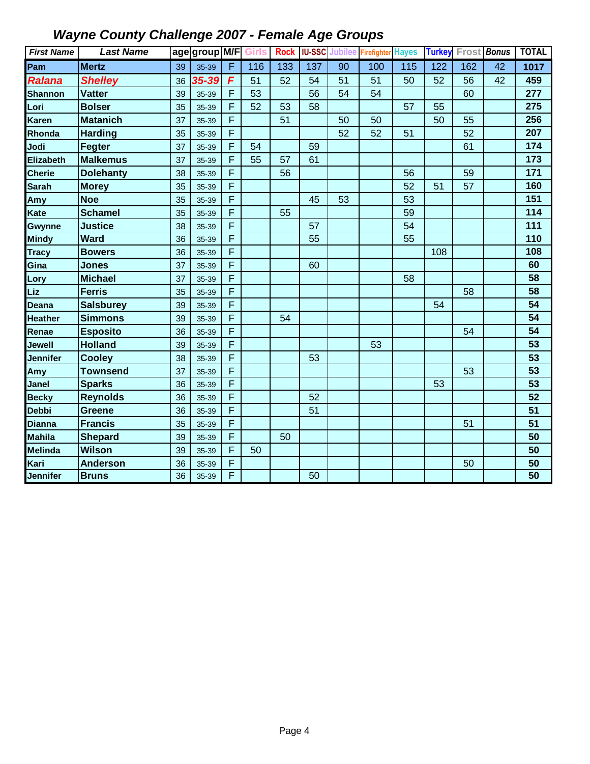| <b>First Name</b> | <b>Last Name</b> |    | age group M/F Girls |   |     |     |     |                 | Rock IU-SSC Jubilee Firefighter Hayes |     |                  | <b>Turkey Frost Bonus</b> |                 | <b>TOTAL</b>      |
|-------------------|------------------|----|---------------------|---|-----|-----|-----|-----------------|---------------------------------------|-----|------------------|---------------------------|-----------------|-------------------|
| Pam               | <b>Mertz</b>     | 39 | 35-39               | F | 116 | 133 | 137 | $\overline{90}$ | 100                                   | 115 | $\overline{122}$ | 162                       | $\overline{42}$ | $\frac{1017}{10}$ |
| <b>Ralana</b>     | <b>Shelley</b>   | 36 | 35-39               | F | 51  | 52  | 54  | 51              | 51                                    | 50  | 52               | 56                        | $\overline{42}$ | 459               |
| <b>Shannon</b>    | <b>Vatter</b>    | 39 | 35-39               | F | 53  |     | 56  | 54              | 54                                    |     |                  | 60                        |                 | 277               |
| Lori              | <b>Bolser</b>    | 35 | 35-39               | F | 52  | 53  | 58  |                 |                                       | 57  | 55               |                           |                 | 275               |
| <b>Karen</b>      | <b>Matanich</b>  | 37 | 35-39               | F |     | 51  |     | 50              | 50                                    |     | 50               | 55                        |                 | 256               |
| Rhonda            | <b>Harding</b>   | 35 | 35-39               | F |     |     |     | 52              | 52                                    | 51  |                  | 52                        |                 | 207               |
| Jodi              | Fegter           | 37 | 35-39               | F | 54  |     | 59  |                 |                                       |     |                  | 61                        |                 | 174               |
| Elizabeth         | <b>Malkemus</b>  | 37 | 35-39               | F | 55  | 57  | 61  |                 |                                       |     |                  |                           |                 | 173               |
| <b>Cherie</b>     | <b>Dolehanty</b> | 38 | 35-39               | F |     | 56  |     |                 |                                       | 56  |                  | 59                        |                 | 171               |
| <b>Sarah</b>      | <b>Morey</b>     | 35 | 35-39               | F |     |     |     |                 |                                       | 52  | 51               | 57                        |                 | 160               |
| Amy               | <b>Noe</b>       | 35 | 35-39               | F |     |     | 45  | 53              |                                       | 53  |                  |                           |                 | 151               |
| Kate              | <b>Schamel</b>   | 35 | 35-39               | F |     | 55  |     |                 |                                       | 59  |                  |                           |                 | 114               |
| <b>Gwynne</b>     | <b>Justice</b>   | 38 | 35-39               | F |     |     | 57  |                 |                                       | 54  |                  |                           |                 | 111               |
| <b>Mindy</b>      | <b>Ward</b>      | 36 | 35-39               | F |     |     | 55  |                 |                                       | 55  |                  |                           |                 | 110               |
| <b>Tracy</b>      | <b>Bowers</b>    | 36 | 35-39               | F |     |     |     |                 |                                       |     | 108              |                           |                 | 108               |
| Gina              | <b>Jones</b>     | 37 | 35-39               | F |     |     | 60  |                 |                                       |     |                  |                           |                 | 60                |
| Lory              | <b>Michael</b>   | 37 | 35-39               | F |     |     |     |                 |                                       | 58  |                  |                           |                 | 58                |
| Liz               | <b>Ferris</b>    | 35 | 35-39               | F |     |     |     |                 |                                       |     |                  | 58                        |                 | 58                |
| Deana             | <b>Salsburey</b> | 39 | 35-39               | F |     |     |     |                 |                                       |     | 54               |                           |                 | 54                |
| <b>Heather</b>    | <b>Simmons</b>   | 39 | 35-39               | F |     | 54  |     |                 |                                       |     |                  |                           |                 | 54                |
| Renae             | <b>Esposito</b>  | 36 | 35-39               | F |     |     |     |                 |                                       |     |                  | 54                        |                 | 54                |
| Jewell            | <b>Holland</b>   | 39 | 35-39               | F |     |     |     |                 | 53                                    |     |                  |                           |                 | 53                |
| Jennifer          | <b>Cooley</b>    | 38 | 35-39               | F |     |     | 53  |                 |                                       |     |                  |                           |                 | 53                |
| Amy               | <b>Townsend</b>  | 37 | 35-39               | F |     |     |     |                 |                                       |     |                  | 53                        |                 | 53                |
| <b>Janel</b>      | <b>Sparks</b>    | 36 | 35-39               | F |     |     |     |                 |                                       |     | 53               |                           |                 | 53                |
| <b>Becky</b>      | <b>Reynolds</b>  | 36 | 35-39               | F |     |     | 52  |                 |                                       |     |                  |                           |                 | 52                |
| <b>Debbi</b>      | <b>Greene</b>    | 36 | 35-39               | F |     |     | 51  |                 |                                       |     |                  |                           |                 | 51                |
| <b>Dianna</b>     | <b>Francis</b>   | 35 | 35-39               | F |     |     |     |                 |                                       |     |                  | 51                        |                 | 51                |
| <b>Mahila</b>     | <b>Shepard</b>   | 39 | 35-39               | F |     | 50  |     |                 |                                       |     |                  |                           |                 | 50                |
| <b>Melinda</b>    | <b>Wilson</b>    | 39 | 35-39               | F | 50  |     |     |                 |                                       |     |                  |                           |                 | 50                |
| Kari              | <b>Anderson</b>  | 36 | 35-39               | F |     |     |     |                 |                                       |     |                  | 50                        |                 | 50                |
| <b>Jennifer</b>   | <b>Bruns</b>     | 36 | 35-39               | F |     |     | 50  |                 |                                       |     |                  |                           |                 | 50                |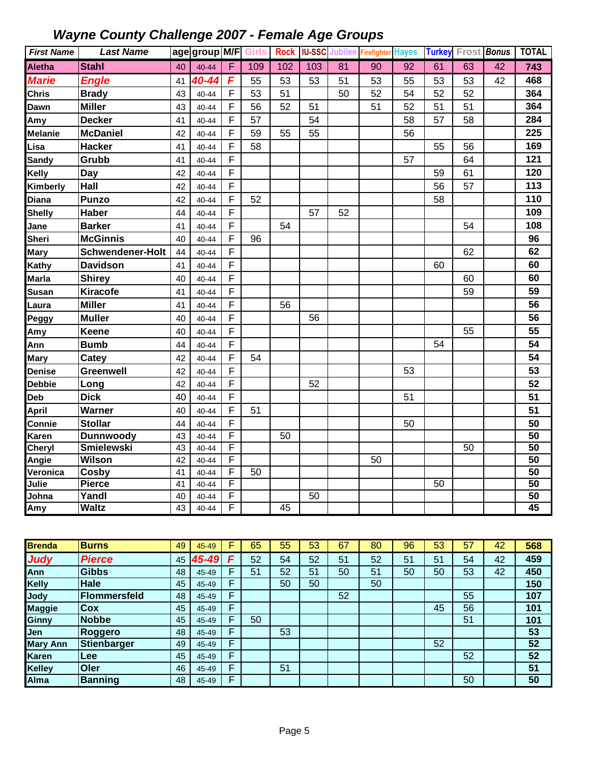| <b>First Name</b> | <b>Last Name</b>        |    | age group M/F Girls |        |     |     |                 |    | Rock   IU-SSC Jubilee Firefighter Hayes |                 |    | <b>Turkey Frost Bonus</b> |                 | <b>TOTAL</b>          |
|-------------------|-------------------------|----|---------------------|--------|-----|-----|-----------------|----|-----------------------------------------|-----------------|----|---------------------------|-----------------|-----------------------|
| <b>Aletha</b>     | <b>Stahl</b>            | 40 | $40 - 44$           | F      | 109 | 102 | 103             | 81 | $\overline{90}$                         | $\overline{92}$ | 61 | $\overline{63}$           | $\overline{42}$ | 743                   |
| <b>Marie</b>      | <b>Engle</b>            | 41 | 40-44               | F      | 55  | 53  | 53              | 51 | 53                                      | 55              | 53 | 53                        | 42              | 468                   |
| <b>Chris</b>      | <b>Brady</b>            | 43 | 40-44               | F      | 53  | 51  |                 | 50 | 52                                      | 54              | 52 | 52                        |                 | 364                   |
| Dawn              | <b>Miller</b>           | 43 | 40-44               | F      | 56  | 52  | 51              |    | 51                                      | 52              | 51 | 51                        |                 | 364                   |
| Amy               | <b>Decker</b>           | 41 | 40-44               | F      | 57  |     | 54              |    |                                         | 58              | 57 | 58                        |                 | 284                   |
| <b>Melanie</b>    | <b>McDaniel</b>         | 42 | 40-44               | F      | 59  | 55  | 55              |    |                                         | 56              |    |                           |                 | 225                   |
| Lisa              | <b>Hacker</b>           | 41 | 40-44               | F      | 58  |     |                 |    |                                         |                 | 55 | 56                        |                 | 169                   |
| <b>Sandy</b>      | Grubb                   | 41 | $40 - 44$           | F      |     |     |                 |    |                                         | 57              |    | 64                        |                 | 121                   |
| Kelly             | <b>Day</b>              | 42 | 40-44               | F      |     |     |                 |    |                                         |                 | 59 | 61                        |                 | 120                   |
| Kimberly          | Hall                    | 42 | 40-44               | F      |     |     |                 |    |                                         |                 | 56 | 57                        |                 | 113                   |
| <b>Diana</b>      | <b>Punzo</b>            | 42 | 40-44               | F      | 52  |     |                 |    |                                         |                 | 58 |                           |                 | 110                   |
| <b>Shelly</b>     | <b>Haber</b>            | 44 | 40-44               | F      |     |     | 57              | 52 |                                         |                 |    |                           |                 | 109                   |
| Jane              | <b>Barker</b>           | 41 | 40-44               | F      |     | 54  |                 |    |                                         |                 |    | 54                        |                 | 108                   |
| <b>Sheri</b>      | <b>McGinnis</b>         | 40 | 40-44               | F      | 96  |     |                 |    |                                         |                 |    |                           |                 | 96                    |
| Mary              | <b>Schwendener-Holt</b> | 44 | 40-44               | F      |     |     |                 |    |                                         |                 |    | 62                        |                 | 62                    |
| Kathy             | <b>Davidson</b>         | 41 | 40-44               | F      |     |     |                 |    |                                         |                 | 60 |                           |                 | 60                    |
| <b>Marla</b>      | <b>Shirey</b>           | 40 | $40 - 44$           | F      |     |     |                 |    |                                         |                 |    | 60                        |                 | 60                    |
| <b>Susan</b>      | <b>Kiracofe</b>         | 41 | 40-44               | F      |     |     |                 |    |                                         |                 |    | 59                        |                 | 59                    |
| Laura             | <b>Miller</b>           | 41 | 40-44               | F      |     | 56  |                 |    |                                         |                 |    |                           |                 | 56                    |
| Peggy             | <b>Muller</b>           | 40 | $40 - 44$           | F      |     |     | 56              |    |                                         |                 |    |                           |                 | 56                    |
| Amy               | <b>Keene</b>            | 40 | 40-44               | F      |     |     |                 |    |                                         |                 |    | 55                        |                 | 55                    |
| Ann               | <b>Bumb</b>             | 44 | 40-44               | F      |     |     |                 |    |                                         |                 | 54 |                           |                 | 54                    |
| <b>Mary</b>       | Catey                   | 42 | 40-44               | F      | 54  |     |                 |    |                                         |                 |    |                           |                 | 54                    |
| <b>Denise</b>     | <b>Greenwell</b>        | 42 | 40-44               | F      |     |     |                 |    |                                         | 53              |    |                           |                 | 53                    |
| <b>Debbie</b>     | Long                    | 42 | 40-44               | F      |     |     | 52              |    |                                         |                 |    |                           |                 | 52                    |
| Deb               | <b>Dick</b>             | 40 | $40 - 44$           | F      |     |     |                 |    |                                         | 51              |    |                           |                 | 51                    |
| April             | Warner                  | 40 | 40-44               | F      | 51  |     |                 |    |                                         |                 |    |                           |                 | 51                    |
| Connie            | <b>Stollar</b>          | 44 | $40 - 44$           | F      |     |     |                 |    |                                         | 50              |    |                           |                 | 50                    |
| <b>Karen</b>      | <b>Dunnwoody</b>        | 43 | 40-44               | F      |     | 50  |                 |    |                                         |                 |    |                           |                 | $\overline{50}$       |
| <b>Cheryl</b>     | <b>Smielewski</b>       | 43 | 40-44               | F      |     |     |                 |    |                                         |                 |    | $\overline{50}$           |                 | $\overline{50}$       |
| Angie             | <b>Wilson</b>           | 42 | 40-44               | F      |     |     |                 |    | 50                                      |                 |    |                           |                 | 50                    |
| Veronica          | Cosby                   | 41 | 40-44               | F      | 50  |     |                 |    |                                         |                 |    |                           |                 | $\overline{50}$       |
| Julie             | <b>Pierce</b>           | 41 | 40-44               | F      |     |     |                 |    |                                         |                 | 50 |                           |                 | 50                    |
| Johna             | Yandl                   | 40 | 40-44               | F<br>F |     | 45  | $\overline{50}$ |    |                                         |                 |    |                           |                 | $\overline{50}$<br>45 |
| Amy               | <b>Waltz</b>            | 43 | 40-44               |        |     |     |                 |    |                                         |                 |    |                           |                 |                       |

| <b>Brenda</b>   | <b>Burns</b>        | 49 | 45-49 |   | 65 | 55 | 53 | 67 | 80 | 96 | 53 | 57 | 42 | 568 |
|-----------------|---------------------|----|-------|---|----|----|----|----|----|----|----|----|----|-----|
| <b>Judy</b>     | <b>Pierce</b>       | 45 | 45-49 | c | 52 | 54 | 52 | 51 | 52 | 51 | 51 | 54 | 42 | 459 |
| Ann             | <b>Gibbs</b>        | 48 | 45-49 | Е | 51 | 52 | 51 | 50 | 51 | 50 | 50 | 53 | 42 | 450 |
| <b>Kelly</b>    | <b>Hale</b>         | 45 | 45-49 | Е |    | 50 | 50 |    | 50 |    |    |    |    | 150 |
| <b>Jody</b>     | <b>Flommersfeld</b> | 48 | 45-49 | F |    |    |    | 52 |    |    |    | 55 |    | 107 |
| <b>Maggie</b>   | <b>Cox</b>          | 45 | 45-49 | F |    |    |    |    |    |    | 45 | 56 |    | 101 |
| <b>Ginny</b>    | <b>Nobbe</b>        | 45 | 45-49 | F | 50 |    |    |    |    |    |    | 51 |    | 101 |
| Jen             | Roggero             | 48 | 45-49 | Е |    | 53 |    |    |    |    |    |    |    | 53  |
| <b>Mary Ann</b> | Stienbarger         | 49 | 45-49 | Е |    |    |    |    |    |    | 52 |    |    | 52  |
| <b>Karen</b>    | <b>Lee</b>          | 45 | 45-49 | Е |    |    |    |    |    |    |    | 52 |    | 52  |
| <b>Kelley</b>   | Oler                | 46 | 45-49 | F |    | 51 |    |    |    |    |    |    |    | 51  |
| Alma            | <b>Banning</b>      | 48 | 45-49 | F |    |    |    |    |    |    |    | 50 |    | 50  |